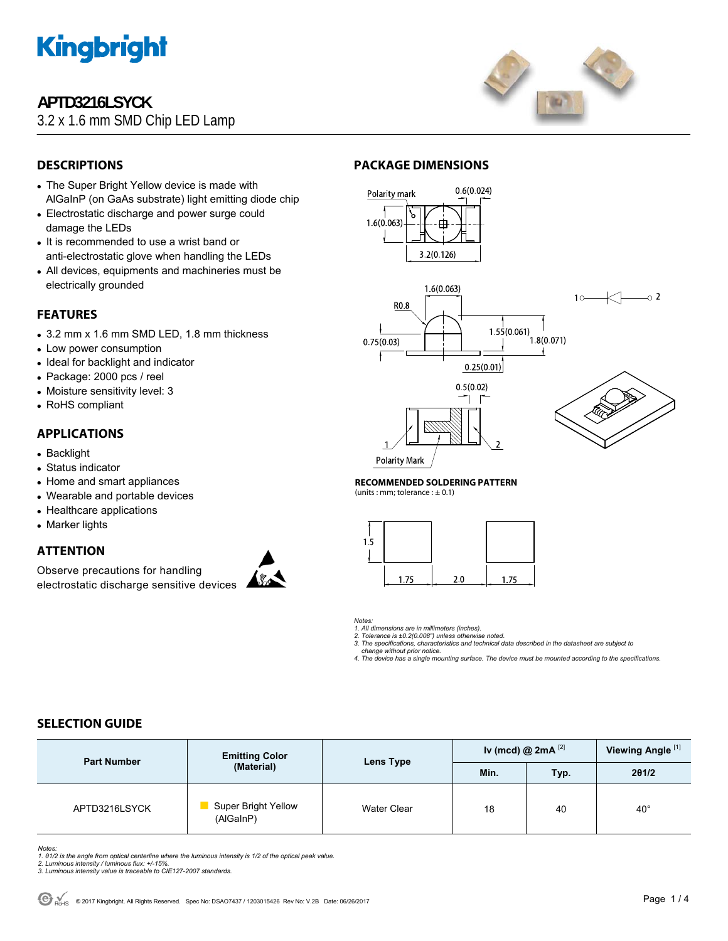

## **APTD3216LSYCK**

3.2 x 1.6 mm SMD Chip LED Lamp



## **DESCRIPTIONS**

- The Super Bright Yellow device is made with AlGaInP (on GaAs substrate) light emitting diode chip
- Electrostatic discharge and power surge could damage the LEDs
- It is recommended to use a wrist band or anti-electrostatic glove when handling the LEDs
- All devices, equipments and machineries must be electrically grounded

### **FEATURES**

- 3.2 mm x 1.6 mm SMD LED, 1.8 mm thickness
- Low power consumption
- Ideal for backlight and indicator
- Package: 2000 pcs / reel
- Moisture sensitivity level: 3
- RoHS compliant

### **APPLICATIONS**

- Backlight
- Status indicator
- Home and smart appliances
- Wearable and portable devices
- Healthcare applications
- Marker lights

### **ATTENTION**

Observe precautions for handling electrostatic discharge sensitive devices



### **PACKAGE DIMENSIONS**



#### **RECOMMENDED SOLDERING PATTERN**

(units : mm; tolerance :  $\pm$  0.1)



*Notes:* 

*1. All dimensions are in millimeters (inches). 2. Tolerance is ±0.2(0.008") unless otherwise noted.* 

*3. The specifications, characteristics and technical data described in the datasheet are subject to* 

 *change without prior notice. 4. The device has a single mounting surface. The device must be mounted according to the specifications.* 

## **SELECTION GUIDE**

| <b>Part Number</b> | <b>Emitting Color</b><br>(Material)     | Lens Type   | Iv (mcd) @ $2mA$ <sup>[2]</sup> |      | Viewing Angle <sup>[1]</sup> |
|--------------------|-----------------------------------------|-------------|---------------------------------|------|------------------------------|
|                    |                                         |             | Min.                            | Typ. | 201/2                        |
| APTD3216LSYCK      | <b>Super Bright Yellow</b><br>(AlGaInP) | Water Clear | 18                              | 40   | $40^{\circ}$                 |

*Notes:* 

*1. θ1/2 is the angle from optical centerline where the luminous intensity is 1/2 of the optical peak value. 2. Luminous intensity / luminous flux: +/-15%.* 

*3. Luminous intensity value is traceable to CIE127-2007 standards.*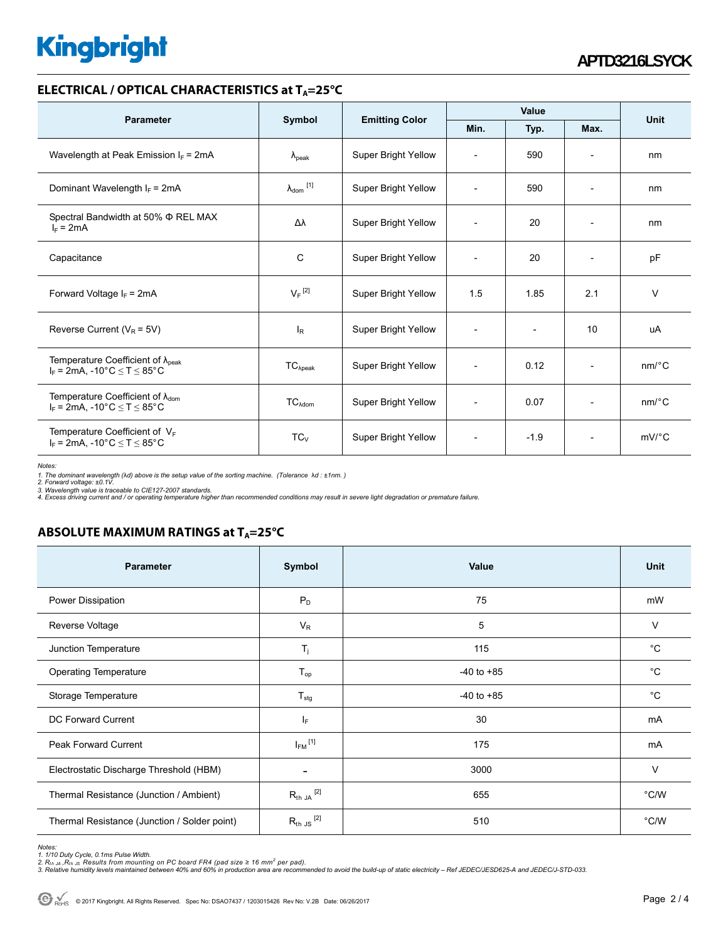# **Kingbright**

#### **ELECTRICAL / OPTICAL CHARACTERISTICS at T<sub>A</sub>=25°C**

| <b>Parameter</b>                                                                            |                            |                                       | Value                    |                          |                          | <b>Unit</b>           |
|---------------------------------------------------------------------------------------------|----------------------------|---------------------------------------|--------------------------|--------------------------|--------------------------|-----------------------|
|                                                                                             | Symbol                     | <b>Emitting Color</b><br>Min.<br>Typ. |                          | Max.                     |                          |                       |
| Wavelength at Peak Emission $I_F$ = 2mA                                                     | $\lambda_{\rm peak}$       | Super Bright Yellow                   | $\overline{\phantom{a}}$ | 590                      | $\overline{\phantom{a}}$ | nm                    |
| Dominant Wavelength $I_F = 2mA$                                                             | $\lambda_{\text{dom}}$ [1] | Super Bright Yellow                   | $\overline{\phantom{a}}$ | 590                      | $\overline{\phantom{a}}$ | nm                    |
| Spectral Bandwidth at 50% $\Phi$ REL MAX<br>$I_F = 2mA$                                     | Δλ                         | <b>Super Bright Yellow</b>            | $\overline{\phantom{a}}$ | 20                       | $\overline{\phantom{a}}$ | nm                    |
| Capacitance                                                                                 | C                          | Super Bright Yellow                   | $\overline{\phantom{a}}$ | 20                       | $\overline{a}$           | pF                    |
| Forward Voltage $I_F$ = 2mA                                                                 | $V_F$ <sup>[2]</sup>       | <b>Super Bright Yellow</b>            | 1.5                      | 1.85                     | 2.1                      | $\vee$                |
| Reverse Current ( $V_R$ = 5V)                                                               | $I_R$                      | Super Bright Yellow                   | $\overline{\phantom{a}}$ | $\overline{\phantom{a}}$ | 10                       | uA                    |
| Temperature Coefficient of $\lambda_{peak}$<br>$I_F = 2mA$ , -10°C $\le T \le 85$ °C        | $TC_{\lambda peak}$        | Super Bright Yellow                   | $\overline{\phantom{a}}$ | 0.12                     | $\overline{\phantom{a}}$ | $nm$ <sup>o</sup> $C$ |
| Temperature Coefficient of $\lambda_{\text{dom}}$<br>$I_F$ = 2mA, -10°C $\leq T \leq 85$ °C | TC <sub>Adam</sub>         | <b>Super Bright Yellow</b>            | $\overline{\phantom{a}}$ | 0.07                     | $\overline{a}$           | $nm$ <sup>o</sup> $C$ |
| Temperature Coefficient of $V_F$<br>$I_F$ = 2mA, -10°C $\leq T \leq 85$ °C                  | $TC_{V}$                   | Super Bright Yellow                   | $\overline{\phantom{a}}$ | $-1.9$                   | $\overline{\phantom{a}}$ | $mV$ <sup>°</sup> C   |

*Notes:* 

1. The dominant wavelength (λd) above is the setup value of the sorting machine. (Tolerance λd : ±1nm. )<br>2. Forward voltage: ±0.1V.<br>3. Wavelength value is traceable to CIE127-2007 standards.<br>4. Excess driving current and

## **ABSOLUTE MAXIMUM RATINGS at T<sub>A</sub>=25°C**

| <b>Parameter</b>                             | Symbol                   | Value          | Unit          |
|----------------------------------------------|--------------------------|----------------|---------------|
| Power Dissipation                            | $P_D$                    | 75             | mW            |
| Reverse Voltage                              | $V_R$                    | 5              | $\vee$        |
| Junction Temperature                         | $T_{j}$                  | 115            | $^{\circ}C$   |
| <b>Operating Temperature</b>                 | $T_{op}$                 | $-40$ to $+85$ | $^{\circ}C$   |
| Storage Temperature                          | $T_{\text{stg}}$         | $-40$ to $+85$ | $^{\circ}C$   |
| DC Forward Current                           | IF.                      | 30             | mA            |
| Peak Forward Current                         | $I_{FM}$ <sup>[1]</sup>  | 175            | mA            |
| Electrostatic Discharge Threshold (HBM)      | $\overline{\phantom{a}}$ | 3000           | $\vee$        |
| Thermal Resistance (Junction / Ambient)      | $R_{th}$ JA $^{[2]}$     | 655            | $\degree$ C/W |
| Thermal Resistance (Junction / Solder point) | $R_{th}$ JS $^{[2]}$     | 510            | $\degree$ C/W |

*Notes:* 

<sup>1. 1/10</sup> Duty Cycle, 0.1ms Pulse Width.<br>2. R<sub>th Ju</sub> ,R<sub>h JS</sub> Results from mounting on PC board FR4 (pad size ≥ 16 mm² per pad).<br>3. Relative humidity levels maintained between 40% and 60% in production area are recommended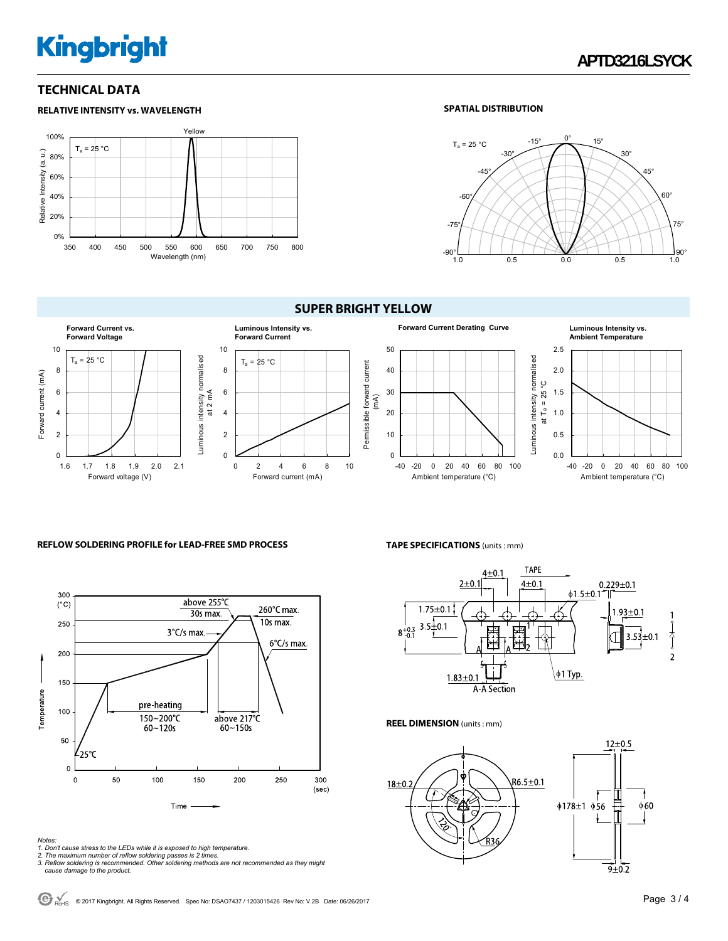# **Kingbright**

**RELATIVE INTENSITY vs. WAVELENGTH**

### **TECHNICAL DATA**

#### Yellow 100%  $T_a = 25 °C$ Relative Intensity (a. u.) Relative Intensity (a. u.) 80% 60% 40% 20% 0% 350 400 450 500 550 600 650 700 750 800 Wavelength (nm)

#### **SPATIAL DISTRIBUTION**



#### **SUPER BRIGHT YELLOW**



#### **REFLOW SOLDERING PROFILE for LEAD-FREE SMD PROCESS**



#### **TAPE SPECIFICATIONS** (units : mm)



#### **REEL DIMENSION** (units : mm)



*Notes:* 

- 
- 

<sup>1.</sup> Don't cause stress to the LEDs while it is exposed to high temperature.<br>2. The maximum number of reflow soldering passes is 2 times.<br>3. Reflow soldering is recommended. Other soldering methods are not recommended as the